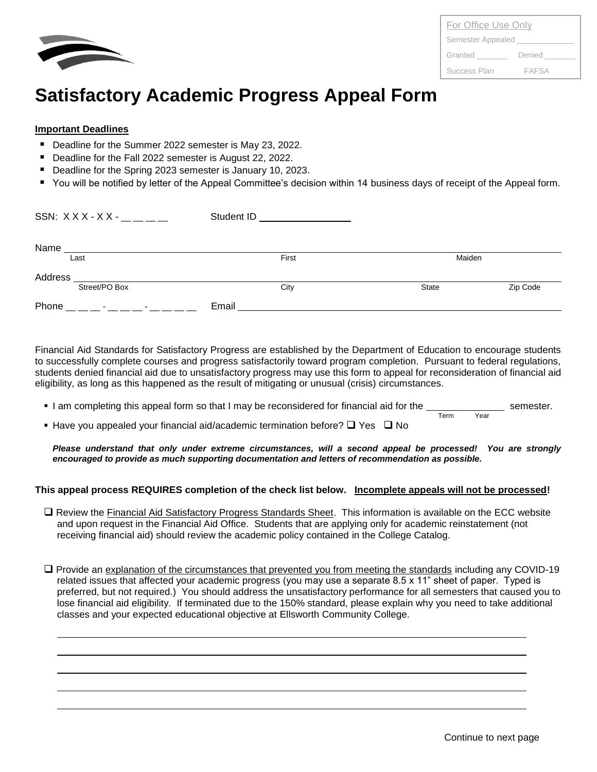

| For Office Use Only |              |  |
|---------------------|--------------|--|
| Semester Appealed   |              |  |
| Granted             | Denied       |  |
| Success Plan        | <b>FAFSA</b> |  |

## **Satisfactory Academic Progress Appeal Form**

## **Important Deadlines**

- Deadline for the Summer 2022 semester is May 23, 2022.
- Deadline for the Fall 2022 semester is August 22, 2022.
- Deadline for the Spring 2023 semester is January 10, 2023.
- You will be notified by letter of the Appeal Committee's decision within 14 business days of receipt of the Appeal form.

| SSN: $XXX-XX$ - _____                                 | Student ID<br><u> 1980 - Jan Barbara Barbara, prima prima prima prima prima prima prima prima prima prima prima prima prima pri</u> |        |          |
|-------------------------------------------------------|-------------------------------------------------------------------------------------------------------------------------------------|--------|----------|
| Name                                                  |                                                                                                                                     |        |          |
| Last                                                  | First                                                                                                                               | Maiden |          |
| Address                                               |                                                                                                                                     |        |          |
| Street/PO Box                                         | City                                                                                                                                | State  | Zip Code |
| Phone<br>the company of the company of the company of | Email                                                                                                                               |        |          |

Financial Aid Standards for Satisfactory Progress are established by the Department of Education to encourage students to successfully complete courses and progress satisfactorily toward program completion. Pursuant to federal regulations, students denied financial aid due to unsatisfactory progress may use this form to appeal for reconsideration of financial aid eligibility, as long as this happened as the result of mitigating or unusual (crisis) circumstances.

- **I** am completing this appeal form so that I may be reconsidered for financial aid for the semester. Term Year
- Have you appealed your financial aid/academic termination before?  $\Box$  Yes  $\Box$  No

*Please understand that only under extreme circumstances, will a second appeal be processed! You are strongly encouraged to provide as much supporting documentation and letters of recommendation as possible.*

## **This appeal process REQUIRES completion of the check list below. Incomplete appeals will not be processed!**

- □ Review the Financial Aid Satisfactory Progress Standards Sheet. This information is available on the ECC website and upon request in the Financial Aid Office. Students that are applying only for academic reinstatement (not receiving financial aid) should review the academic policy contained in the College Catalog.
- ❑ Provide an explanation of the circumstances that prevented you from meeting the standards including any COVID-19 related issues that affected your academic progress (you may use a separate 8.5 x 11" sheet of paper. Typed is preferred, but not required.) You should address the unsatisfactory performance for all semesters that caused you to lose financial aid eligibility. If terminated due to the 150% standard, please explain why you need to take additional classes and your expected educational objective at Ellsworth Community College.